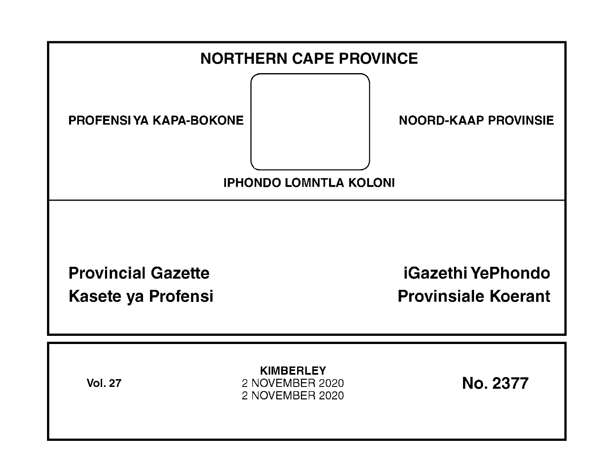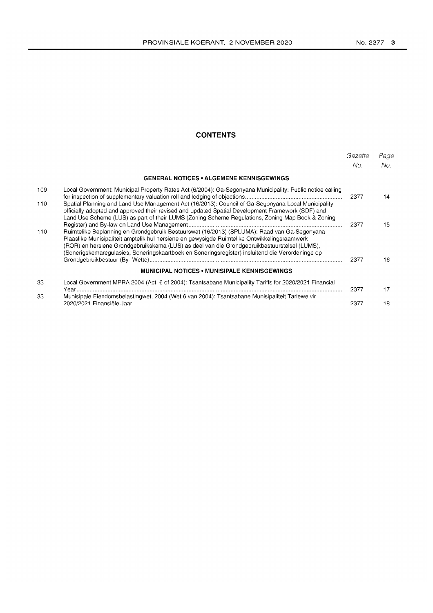# **CONTENTS**

|     |                                                                                                                                                                                                                                                                                                                                                                                                 | Gazette<br>No. | Page<br>No. |
|-----|-------------------------------------------------------------------------------------------------------------------------------------------------------------------------------------------------------------------------------------------------------------------------------------------------------------------------------------------------------------------------------------------------|----------------|-------------|
|     | <b>GENERAL NOTICES • ALGEMENE KENNISGEWINGS</b>                                                                                                                                                                                                                                                                                                                                                 |                |             |
| 109 | Local Government: Municipal Property Rates Act (6/2004): Ga-Segonyana Municipality: Public notice calling                                                                                                                                                                                                                                                                                       | 2377           | 14          |
| 110 | Spatial Planning and Land Use Management Act (16/2013): Council of Ga-Segonyana Local Municipality<br>officially adopted and approved their revised and updated Spatial Development Framework (SDF) and<br>Land Use Scheme (LUS) as part of their LUMS (Zoning Scheme Regulations, Zoning Map Book & Zoning                                                                                     | 2377           | 15          |
| 110 | Ruimtelike Beplanning en Grondgebruik Bestuurswet (16/2013) (SPLUMA): Raad van Ga-Segonyana<br>Plaaslike Munisipaliteit amptelik hul hersiene en gewysigde Ruimtelike Ontwikkelingsraamwerk<br>(ROR) en hersiene Grondgebruikskema (LUS) as deel van die Grondgebruikbestuurstelsel (LUMS),<br>(Sonerigskemaregulasies, Soneringskaartboek en Soneringsregister) insluitend die Verordeninge op | 2377           | 16          |
|     | <b>MUNICIPAL NOTICES • MUNISIPALE KENNISGEWINGS</b>                                                                                                                                                                                                                                                                                                                                             |                |             |
| 33  | Local Government MPRA 2004 (Act, 6 of 2004): Tsantsabane Municipality Tariffs for 2020/2021 Financial                                                                                                                                                                                                                                                                                           | 2377           | 17          |
| 33  | Munisipale Eiendomsbelastingwet, 2004 (Wet 6 van 2004): Tsantsabane Munisipaliteit Tariewe vir                                                                                                                                                                                                                                                                                                  | 2377           | 18          |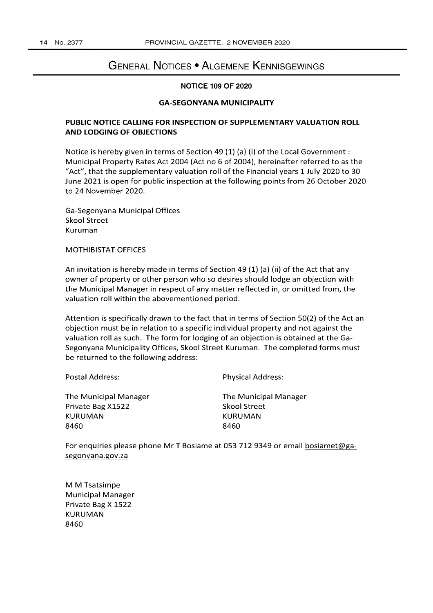# GENERAL NOTICES • ALGEMENE KENNISGEWINGS

# NOTICE 109 OF 2020

#### GA-SEGONYANA MUNICIPALITY

# PUBLIC NOTICE CALLING FOR INSPECTION OF SUPPLEMENTARY VALUATION ROLL AND LODGING OF OBJECTIONS

Notice is hereby given in terms of Section 49 (1) (a) (i) of the Local Government: Municipal Property Rates Act 2004 (Act no 6 of 2004), hereinafter referred to as the "Act", that the supplementary valuation roll of the Financial years 1 July 2020 to 30 June 2021 is open for public inspection at the following points from 26 October 2020 to 24 November 2020.

Ga-Segonyana Municipal Offices Skool Street Kuruman

MOTHIBISTAT OFFICES

An invitation is hereby made in terms of Section 49 (1) (a) (ii) of the Act that any owner of property or other person who so desires should lodge an objection with the Municipal Manager in respect of any matter reflected in, or omitted from, the valuation roll within the abovementioned period.

Attention is specifically drawn to the fact that in terms of Section 50(2) of the Act an objection must be in relation to a specific individual property and not against the valuation roll as such. The form for lodging of an objection is obtained at the Ga-Segonyana Municipality Offices, Skool Street Kuruman. The completed forms must be returned to the following address:

Postal Address:

Physical Address:

The Municipal Manager Private Bag X1522 KURUMAN 8460

The Municipal Manager Skool Street KURUMAN 8460

For enquiries please phone Mr T Bosiame at 0537129349 or email bosiamet@gasegonyana.gov.za

M M Tsatsimpe Municipal Manager Private Bag X 1522 KURUMAN 8460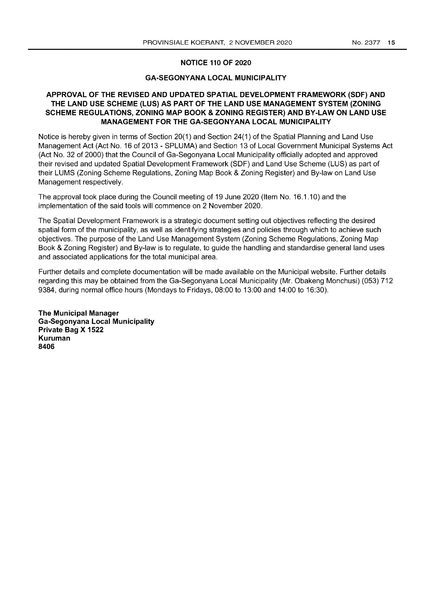#### **NOTICE 110 OF 2020**

# **GA-SEGONYANA LOCAL MUNICIPALITY**

# **APPROVAL OF THE REVISED AND UPDATED SPATIAL DEVELOPMENT FRAMEWORK (SDF) AND THE LAND USE SCHEME (LUS) AS PART OF THE LAND USE MANAGEMENT SYSTEM (ZONING SCHEME REGULATIONS, ZONING MAP BOOK & ZONING REGISTER) AND BY-LAW ON LAND USE MANAGEMENT FOR THE GA-SEGONYANA LOCAL MUNICIPALITY**

Notice is hereby given in terms of Section 20(1) and Section 24(1) of the Spatial Planning and Land Use Management Act (Act No. 16 of 2013 - SPLUMA) and Section 13 of Local Government Municipal Systems Act (Act No. 32 of 2000) that the Council of Ga-Segonyana Local Municipality officially adopted and approved their revised and updated Spatial Development Framework (SDF) and Land Use Scheme (LUS) as part of their LUMS (Zoning Scheme Regulations, Zoning Map Book & Zoning Register) and By-law on Land Use Management respectively.

The approval took place during the Council meeting of 19 June 2020 (Item No. 16.1.10) and the implementation of the said tools will commence on 2 November 2020.

The Spatial Development Framework is a strategic document setting out objectives reflecting the desired spatial form of the municipality, as well as identifying strategies and policies through which to achieve such objectives. The purpose of the Land Use Management System (Zoning Scheme Regulations, Zoning Map Book & Zoning Register) and By-law is to regulate, to guide the handling and standardise general land uses and associated applications for the total municipal area.

Further details and complete documentation will be made available on the Municipal website. Further details regarding this may be obtained from the Ga-Segonyana Local Municipality (Mr. Obakeng Monchusi) (053) 712 9384, during normal office hours (Mondays to Fridays, 08:00 to 13:00 and 14:00 to 16:30).

**The Municipal Manager Ga-Segonyana Local Municipality Private Bag X 1522 Kuruman 8406**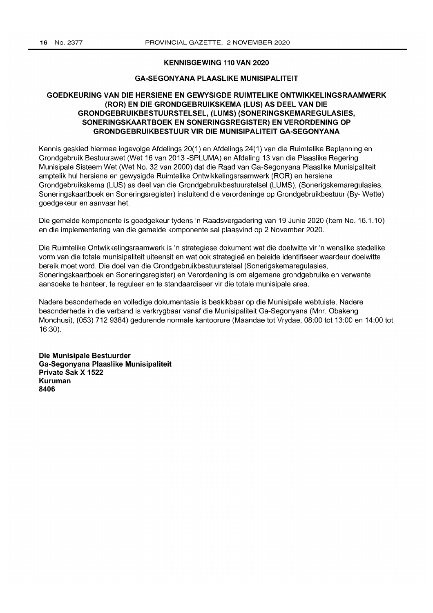#### **KENNISGEWING 110 VAN 2020**

# **GA-SEGONYANA PLAASLIKE MUNISIPALITEIT**

# **GOEDKEURING VAN DIE HERSIENE EN GEWYSIGDE RUIMTELIKE ONTWIKKELlNGSRAAMWERK (ROR) EN DIE GRONDGEBRUIKSKEMA (LUS) AS DEEL VAN DIE GRONDGEBRUIKBESTUURSTELSEL, (LUMS) (SONERINGSKEMAREGULASIES, SONERINGSKAARTBOEK EN SONERINGSREGISTER) EN VERORDENING OP GRONDGEBRUIKBESTUUR VIR DIE MUNISIPALITEIT GA-SEGONYANA**

Kennis geskied hiermee ingevolge Afdelings 20(1) en Afdelings 24(1) van die Ruimtelike Beplanning en Grondgebruik Bestuurswet (Wet 16 van 2013 -SPLUMA) en Afdeling 13 van die Plaaslike Regering Munisipale Sisteem Wet (Wet No. 32 van 2000) dat die Raad van Ga-Segonyana Plaaslike Munisipaliteit amptelik hul hersiene en gewysigde Ruimtelike Ontwikkelingsraamwerk (ROR) en hersiene Grondgebruikskema (LUS) as deel van die Grondgebruikbestuurstelsel (LUMS), (Sonerigskemaregulasies, Soneringskaartboek en Soneringsregister) insluitend die verordeninge op Grondgebruikbestuur (By- Wette) goedgekeur en aanvaar het.

Die gemelde komponente is goedgekeur tydens 'n Raadsvergadering van 19 Junie 2020 (Item No. 16.1.10) en die implementering van die gemelde komponente sal plaasvind op 2 November 2020.

Die Ruimtelike Ontwikkelingsraamwerk is 'n strategiese dokument wat die doelwitte vir 'n wenslike stedelike vorm van die totale munisipaliteit uiteensit en wat ook strategieë en beleide identifiseer waardeur doelwitte bereik moet word. Die doel van die Grondgebruikbestuurstelsel (Sonerigskemaregulasies, Soneringskaartboek en Soneringsregister) en Verordening is om algemene grondgebruike en verwante aansoeke te hanteer, te reguleer en te standaardiseer vir die totale munisipale area.

Nadere besonderhede en volledige dokumentasie is beskikbaar op die Munisipale webtuiste. Nadere besonderhede in die verband is verkrygbaar vanaf die Munisipaliteit Ga-Segonyana (Mnr. Obakeng Monchusi), (053) 712 9384) gedurende normale kantoorure (Maandae tot Vrydae, 08:00 tot 13:00 en 14:00 tot 16:30).

**Die Munisipale Bestuurder Ga-Segonyana Plaaslike Munisipaliteit Private Sak X 1522 Kuruman 8406**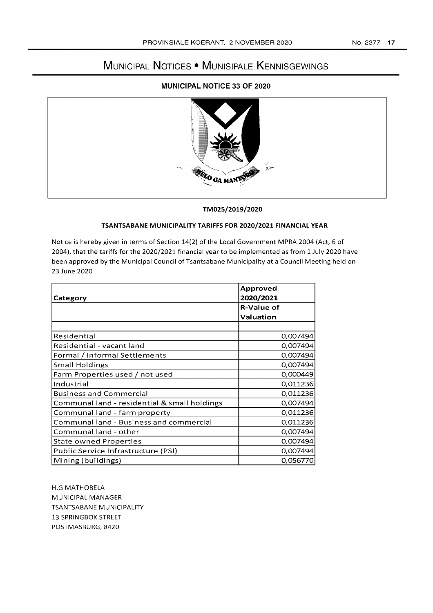# **MUNICIPAL NOTICES • MUNISIPALE KENNISGEWINGS**

# **MUNICIPAL NOTICE 33 OF 2020**



#### TM025/2019/2020

# **TSANTSABANE MUNICIPALITY TARIFFS FOR 2020/2021 FINANCIAL YEAR**

Notice is hereby given in terms of Section 14(2) of the Local Government **MPRA** 2004 (Act, 6 of 2004), that the tariffs for the 2020/2021 financial year to be implemented as from 1 July 2020 have been approved by the Municipal Council of Tsantsabane Municipality at a Council Meeting held on 23 June 2020

| Category                                     | Approved<br>2020/2021 |
|----------------------------------------------|-----------------------|
|                                              | <b>R-Value of</b>     |
|                                              | Valuation             |
|                                              |                       |
| Residential                                  | 0,007494              |
| Residential - vacant land                    | 0,007494              |
| Formal / Informal Settlements                | 0,007494              |
| <b>Small Holdings</b>                        | 0,007494              |
| Farm Properties used / not used              | 0,000449              |
| Industrial                                   | 0,011236              |
| <b>Business and Commercial</b>               | 0,011236              |
| Communal land - residential & small holdings | 0,007494              |
| Communal land - farm property                | 0,011236              |
| Communal land - Business and commercial      | 0,011236              |
| Communal land - other                        | 0,007494              |
| State owned Properties                       | 0,007494              |
| Public Service Infrastructure (PSI)          | 0,007494              |
| Mining (buildings)                           | 0,056770              |

H.G MATHOBELA MUNICIPAL MANAGER TSANTSABANE MUNICIPALITY 13 SPRINGBOK STREET POSTMASBURG,8420